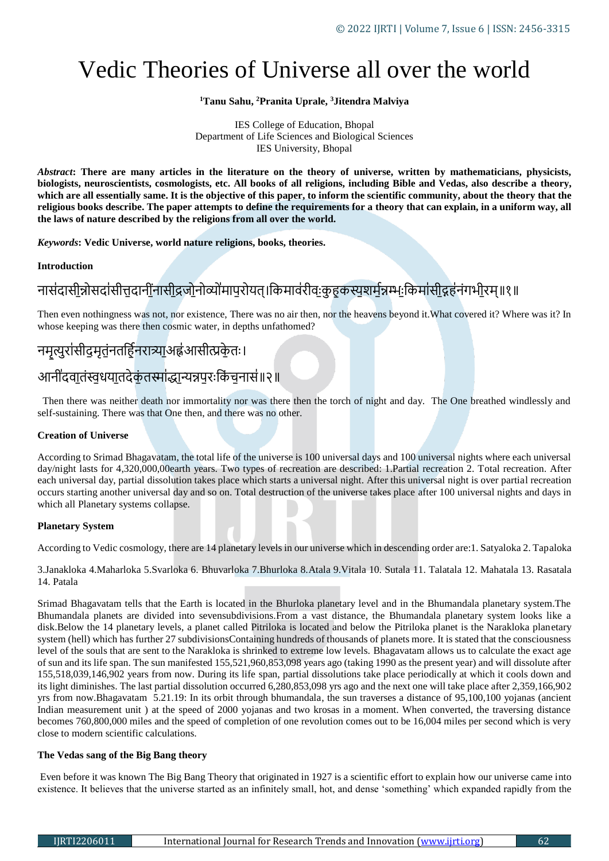# Vedic Theories of Universe all over the world

# **<sup>1</sup>Tanu Sahu, <sup>2</sup>Pranita Uprale, <sup>3</sup>Jitendra Malviya**

#### IES College of Education, Bhopal Department of Life Sciences and Biological Sciences IES University, Bhopal

*Abstract***: There are many articles in the literature on the theory of universe, written by mathematicians, physicists, biologists, neuroscientists, cosmologists, etc. All books of all religions, including Bible and Vedas, also describe a theory, which are all essentially same. It is the objective of this paper, to inform the scientific community, about the theory that the religious books describe. The paper attempts to define the requirements for a theory that can explain, in a uniform way, all the laws of nature described by the religions from all over the world.**

*Keywords***: Vedic Universe, world nature religions, books, theories.**

### **Introduction**

# नासंदासीन्नोसदा॑सीत्तदानींनासीद्रजोनोव्यो॑मापरोयत्।किमाव॑रीवःकृहकस्यशर्मन्नम्भःकिमा॑सीद्गह॑नंगभीरम्॥१॥

Then even nothingness was not, nor existence, There was no air then, nor the heavens beyond it.What covered it? Where was it? In whose keeping was there then cosmic water, in depths unfathomed?

# नमृत्युरांसीदुमृतंनतर्हिनरात्र्या॒ अह्व॑ आसीत्प्रकेृतः।

# आनी॑दवातंस्वधयातदेकंतस्मा॑द्धान्यन्नपरःकिंचनास॑॥२॥

 Then there was neither death nor immortality nor was there then the torch of night and day. The One breathed windlessly and self-sustaining. There was that One then, and there was no other.

# **Creation of Universe**

According to Srimad Bhagavatam, the total life of the universe is 100 universal days and 100 universal nights where each universal day/night lasts for 4,320,000,00earth years. Two types of recreation are described: 1.Partial recreation 2. Total recreation. After each universal day, partial dissolution takes place which starts a universal night. After this universal night is over partial recreation occurs starting another universal day and so on. Total destruction of the universe takes place after 100 universal nights and days in which all Planetary systems collapse.

### **Planetary System**

According to Vedic cosmology, there are 14 planetary levels in our universe which in descending order are:1. Satyaloka 2. Tapaloka

3.Janakloka 4.Maharloka 5.Svarloka 6. Bhuvarloka 7.Bhurloka 8.Atala 9.Vitala 10. Sutala 11. Talatala 12. Mahatala 13. Rasatala 14. Patala

Srimad Bhagavatam tells that the Earth is located in the Bhurloka planetary level and in the Bhumandala planetary system.The Bhumandala planets are divided into sevensubdivisions.From a vast distance, the Bhumandala planetary system looks like a disk.Below the 14 planetary levels, a planet called Pitriloka is located and below the Pitriloka planet is the Narakloka planetary system (hell) which has further 27 subdivisionsContaining hundreds of thousands of planets more. It is stated that the consciousness level of the souls that are sent to the Narakloka is shrinked to extreme low levels. Bhagavatam allows us to calculate the exact age of sun and its life span. The sun manifested 155,521,960,853,098 years ago (taking 1990 as the present year) and will dissolute after 155,518,039,146,902 years from now. During its life span, partial dissolutions take place periodically at which it cools down and its light diminishes. The last partial dissolution occurred 6,280,853,098 yrs ago and the next one will take place after 2,359,166,902 yrs from now.Bhagavatam 5.21.19: In its orbit through bhumandala, the sun traverses a distance of 95,100,100 yojanas (ancient Indian measurement unit ) at the speed of 2000 yojanas and two krosas in a moment. When converted, the traversing distance becomes 760,800,000 miles and the speed of completion of one revolution comes out to be 16,004 miles per second which is very close to modern scientific calculations.

## **The Vedas sang of the Big Bang theory**

Even before it was known The Big Bang Theory that originated in 1927 is a scientific effort to explain how our universe came into existence. It believes that the universe started as an infinitely small, hot, and dense 'something' which expanded rapidly from the